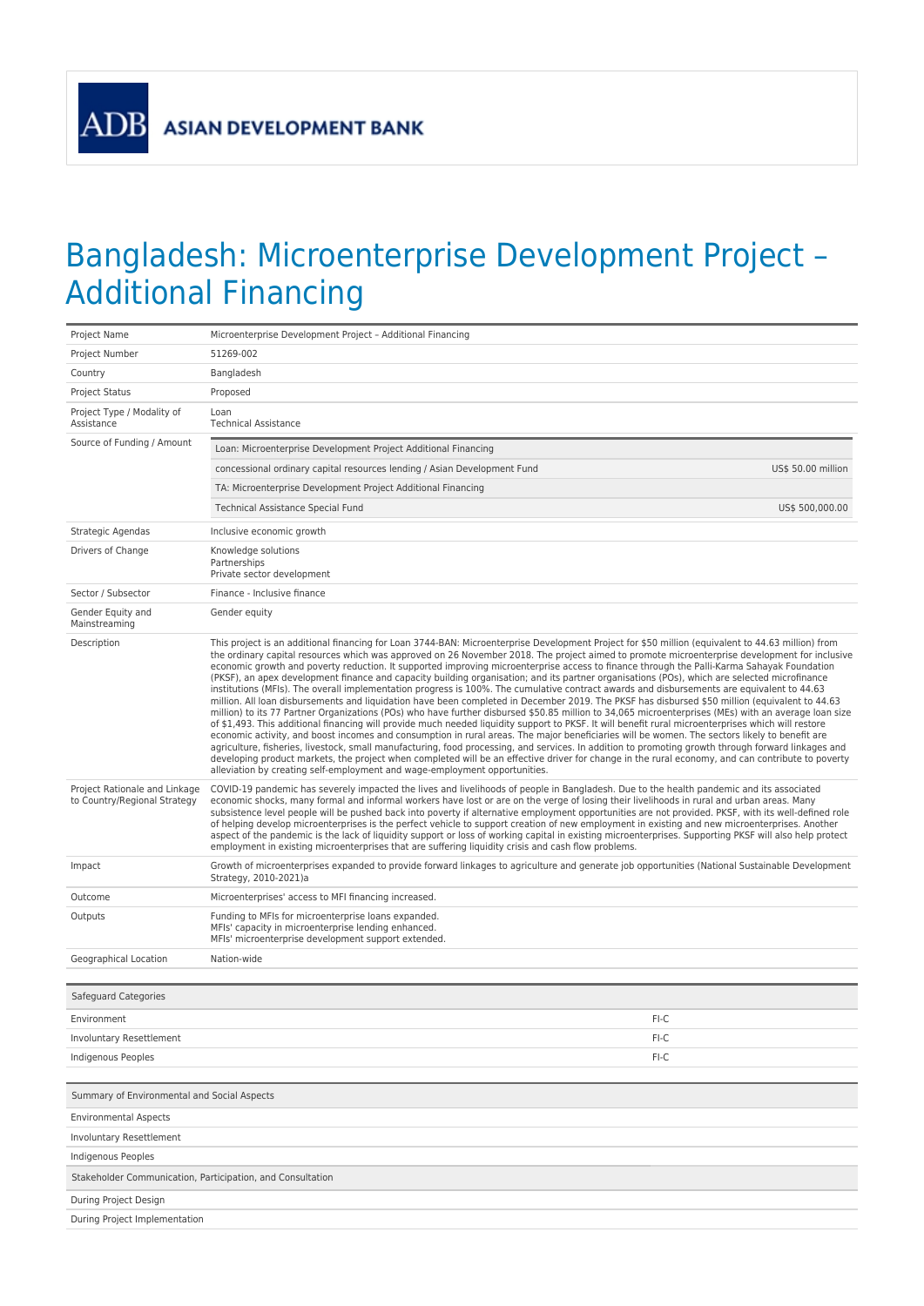**ADB** 

## Bangladesh: Microenterprise Development Project – Additional Financing

| Project Name                                                  | Microenterprise Development Project - Additional Financing                                                                                                                                                                                                                                                                                                                                                                                                                                                                                                                                                                                                                                                                                                                                                                                                                                                                                                                                                                                                                                                                                                                                                                                                                                                                                                                                                                                                                                                                                                                                                                                                                                                                                                  |  |
|---------------------------------------------------------------|-------------------------------------------------------------------------------------------------------------------------------------------------------------------------------------------------------------------------------------------------------------------------------------------------------------------------------------------------------------------------------------------------------------------------------------------------------------------------------------------------------------------------------------------------------------------------------------------------------------------------------------------------------------------------------------------------------------------------------------------------------------------------------------------------------------------------------------------------------------------------------------------------------------------------------------------------------------------------------------------------------------------------------------------------------------------------------------------------------------------------------------------------------------------------------------------------------------------------------------------------------------------------------------------------------------------------------------------------------------------------------------------------------------------------------------------------------------------------------------------------------------------------------------------------------------------------------------------------------------------------------------------------------------------------------------------------------------------------------------------------------------|--|
| Project Number                                                | 51269-002                                                                                                                                                                                                                                                                                                                                                                                                                                                                                                                                                                                                                                                                                                                                                                                                                                                                                                                                                                                                                                                                                                                                                                                                                                                                                                                                                                                                                                                                                                                                                                                                                                                                                                                                                   |  |
| Country                                                       | Bangladesh                                                                                                                                                                                                                                                                                                                                                                                                                                                                                                                                                                                                                                                                                                                                                                                                                                                                                                                                                                                                                                                                                                                                                                                                                                                                                                                                                                                                                                                                                                                                                                                                                                                                                                                                                  |  |
| Project Status                                                | Proposed                                                                                                                                                                                                                                                                                                                                                                                                                                                                                                                                                                                                                                                                                                                                                                                                                                                                                                                                                                                                                                                                                                                                                                                                                                                                                                                                                                                                                                                                                                                                                                                                                                                                                                                                                    |  |
| Project Type / Modality of<br>Assistance                      | Loan<br><b>Technical Assistance</b>                                                                                                                                                                                                                                                                                                                                                                                                                                                                                                                                                                                                                                                                                                                                                                                                                                                                                                                                                                                                                                                                                                                                                                                                                                                                                                                                                                                                                                                                                                                                                                                                                                                                                                                         |  |
| Source of Funding / Amount                                    | Loan: Microenterprise Development Project Additional Financing                                                                                                                                                                                                                                                                                                                                                                                                                                                                                                                                                                                                                                                                                                                                                                                                                                                                                                                                                                                                                                                                                                                                                                                                                                                                                                                                                                                                                                                                                                                                                                                                                                                                                              |  |
|                                                               | concessional ordinary capital resources lending / Asian Development Fund<br>US\$ 50.00 million                                                                                                                                                                                                                                                                                                                                                                                                                                                                                                                                                                                                                                                                                                                                                                                                                                                                                                                                                                                                                                                                                                                                                                                                                                                                                                                                                                                                                                                                                                                                                                                                                                                              |  |
|                                                               | TA: Microenterprise Development Project Additional Financing                                                                                                                                                                                                                                                                                                                                                                                                                                                                                                                                                                                                                                                                                                                                                                                                                                                                                                                                                                                                                                                                                                                                                                                                                                                                                                                                                                                                                                                                                                                                                                                                                                                                                                |  |
|                                                               | US\$ 500,000.00<br>Technical Assistance Special Fund                                                                                                                                                                                                                                                                                                                                                                                                                                                                                                                                                                                                                                                                                                                                                                                                                                                                                                                                                                                                                                                                                                                                                                                                                                                                                                                                                                                                                                                                                                                                                                                                                                                                                                        |  |
| Strategic Agendas                                             | Inclusive economic growth                                                                                                                                                                                                                                                                                                                                                                                                                                                                                                                                                                                                                                                                                                                                                                                                                                                                                                                                                                                                                                                                                                                                                                                                                                                                                                                                                                                                                                                                                                                                                                                                                                                                                                                                   |  |
| Drivers of Change                                             | Knowledge solutions<br>Partnerships<br>Private sector development                                                                                                                                                                                                                                                                                                                                                                                                                                                                                                                                                                                                                                                                                                                                                                                                                                                                                                                                                                                                                                                                                                                                                                                                                                                                                                                                                                                                                                                                                                                                                                                                                                                                                           |  |
| Sector / Subsector                                            | Finance - Inclusive finance                                                                                                                                                                                                                                                                                                                                                                                                                                                                                                                                                                                                                                                                                                                                                                                                                                                                                                                                                                                                                                                                                                                                                                                                                                                                                                                                                                                                                                                                                                                                                                                                                                                                                                                                 |  |
| Gender Equity and<br>Mainstreaming                            | Gender equity                                                                                                                                                                                                                                                                                                                                                                                                                                                                                                                                                                                                                                                                                                                                                                                                                                                                                                                                                                                                                                                                                                                                                                                                                                                                                                                                                                                                                                                                                                                                                                                                                                                                                                                                               |  |
| Description                                                   | This project is an additional financing for Loan 3744-BAN: Microenterprise Development Project for \$50 million (equivalent to 44.63 million) from<br>the ordinary capital resources which was approved on 26 November 2018. The project aimed to promote microenterprise development for inclusive<br>economic growth and poverty reduction. It supported improving microenterprise access to finance through the Palli-Karma Sahayak Foundation<br>(PKSF), an apex development finance and capacity building organisation; and its partner organisations (POs), which are selected microfinance<br>institutions (MFIs). The overall implementation progress is 100%. The cumulative contract awards and disbursements are equivalent to 44.63<br>million. All loan disbursements and liquidation have been completed in December 2019. The PKSF has disbursed \$50 million (equivalent to 44.63<br>million) to its 77 Partner Organizations (POs) who have further disbursed \$50.85 million to 34,065 microenterprises (MEs) with an average loan size<br>of \$1,493. This additional financing will provide much needed liquidity support to PKSF. It will benefit rural microenterprises which will restore<br>economic activity, and boost incomes and consumption in rural areas. The major beneficiaries will be women. The sectors likely to benefit are<br>agriculture, fisheries, livestock, small manufacturing, food processing, and services. In addition to promoting growth through forward linkages and<br>developing product markets, the project when completed will be an effective driver for change in the rural economy, and can contribute to poverty<br>alleviation by creating self-employment and wage-employment opportunities. |  |
| Project Rationale and Linkage<br>to Country/Regional Strategy | COVID-19 pandemic has severely impacted the lives and livelihoods of people in Bangladesh. Due to the health pandemic and its associated<br>economic shocks, many formal and informal workers have lost or are on the verge of losing their livelihoods in rural and urban areas. Many<br>subsistence level people will be pushed back into poverty if alternative employment opportunities are not provided. PKSF, with its well-defined role<br>of helping develop microenterprises is the perfect vehicle to support creation of new employment in existing and new microenterprises. Another<br>aspect of the pandemic is the lack of liquidity support or loss of working capital in existing microenterprises. Supporting PKSF will also help protect<br>employment in existing microenterprises that are suffering liquidity crisis and cash flow problems.                                                                                                                                                                                                                                                                                                                                                                                                                                                                                                                                                                                                                                                                                                                                                                                                                                                                                          |  |
| Impact                                                        | Growth of microenterprises expanded to provide forward linkages to agriculture and generate job opportunities (National Sustainable Development<br>Strategy, 2010-2021)a                                                                                                                                                                                                                                                                                                                                                                                                                                                                                                                                                                                                                                                                                                                                                                                                                                                                                                                                                                                                                                                                                                                                                                                                                                                                                                                                                                                                                                                                                                                                                                                    |  |
| Outcome                                                       | Microenterprises' access to MFI financing increased.                                                                                                                                                                                                                                                                                                                                                                                                                                                                                                                                                                                                                                                                                                                                                                                                                                                                                                                                                                                                                                                                                                                                                                                                                                                                                                                                                                                                                                                                                                                                                                                                                                                                                                        |  |
| Outputs                                                       | Funding to MFIs for microenterprise loans expanded.<br>MFIs' capacity in microenterprise lending enhanced.<br>MFIs' microenterprise development support extended.                                                                                                                                                                                                                                                                                                                                                                                                                                                                                                                                                                                                                                                                                                                                                                                                                                                                                                                                                                                                                                                                                                                                                                                                                                                                                                                                                                                                                                                                                                                                                                                           |  |
| Geographical Location                                         | Nation-wide                                                                                                                                                                                                                                                                                                                                                                                                                                                                                                                                                                                                                                                                                                                                                                                                                                                                                                                                                                                                                                                                                                                                                                                                                                                                                                                                                                                                                                                                                                                                                                                                                                                                                                                                                 |  |
| Safeguard Categories                                          |                                                                                                                                                                                                                                                                                                                                                                                                                                                                                                                                                                                                                                                                                                                                                                                                                                                                                                                                                                                                                                                                                                                                                                                                                                                                                                                                                                                                                                                                                                                                                                                                                                                                                                                                                             |  |
| Environment                                                   | FI-C                                                                                                                                                                                                                                                                                                                                                                                                                                                                                                                                                                                                                                                                                                                                                                                                                                                                                                                                                                                                                                                                                                                                                                                                                                                                                                                                                                                                                                                                                                                                                                                                                                                                                                                                                        |  |
| Involuntary Resettlement                                      | FI-C                                                                                                                                                                                                                                                                                                                                                                                                                                                                                                                                                                                                                                                                                                                                                                                                                                                                                                                                                                                                                                                                                                                                                                                                                                                                                                                                                                                                                                                                                                                                                                                                                                                                                                                                                        |  |
| Indigenous Peoples                                            | FI-C                                                                                                                                                                                                                                                                                                                                                                                                                                                                                                                                                                                                                                                                                                                                                                                                                                                                                                                                                                                                                                                                                                                                                                                                                                                                                                                                                                                                                                                                                                                                                                                                                                                                                                                                                        |  |
|                                                               |                                                                                                                                                                                                                                                                                                                                                                                                                                                                                                                                                                                                                                                                                                                                                                                                                                                                                                                                                                                                                                                                                                                                                                                                                                                                                                                                                                                                                                                                                                                                                                                                                                                                                                                                                             |  |
| Summary of Environmental and Social Aspects                   |                                                                                                                                                                                                                                                                                                                                                                                                                                                                                                                                                                                                                                                                                                                                                                                                                                                                                                                                                                                                                                                                                                                                                                                                                                                                                                                                                                                                                                                                                                                                                                                                                                                                                                                                                             |  |
| <b>Environmental Aspects</b>                                  |                                                                                                                                                                                                                                                                                                                                                                                                                                                                                                                                                                                                                                                                                                                                                                                                                                                                                                                                                                                                                                                                                                                                                                                                                                                                                                                                                                                                                                                                                                                                                                                                                                                                                                                                                             |  |
| <b>Involuntary Resettlement</b>                               |                                                                                                                                                                                                                                                                                                                                                                                                                                                                                                                                                                                                                                                                                                                                                                                                                                                                                                                                                                                                                                                                                                                                                                                                                                                                                                                                                                                                                                                                                                                                                                                                                                                                                                                                                             |  |
| Indigenous Peoples                                            |                                                                                                                                                                                                                                                                                                                                                                                                                                                                                                                                                                                                                                                                                                                                                                                                                                                                                                                                                                                                                                                                                                                                                                                                                                                                                                                                                                                                                                                                                                                                                                                                                                                                                                                                                             |  |
| Stakeholder Communication, Participation, and Consultation    |                                                                                                                                                                                                                                                                                                                                                                                                                                                                                                                                                                                                                                                                                                                                                                                                                                                                                                                                                                                                                                                                                                                                                                                                                                                                                                                                                                                                                                                                                                                                                                                                                                                                                                                                                             |  |
| During Project Design                                         |                                                                                                                                                                                                                                                                                                                                                                                                                                                                                                                                                                                                                                                                                                                                                                                                                                                                                                                                                                                                                                                                                                                                                                                                                                                                                                                                                                                                                                                                                                                                                                                                                                                                                                                                                             |  |
| During Project Implementation                                 |                                                                                                                                                                                                                                                                                                                                                                                                                                                                                                                                                                                                                                                                                                                                                                                                                                                                                                                                                                                                                                                                                                                                                                                                                                                                                                                                                                                                                                                                                                                                                                                                                                                                                                                                                             |  |